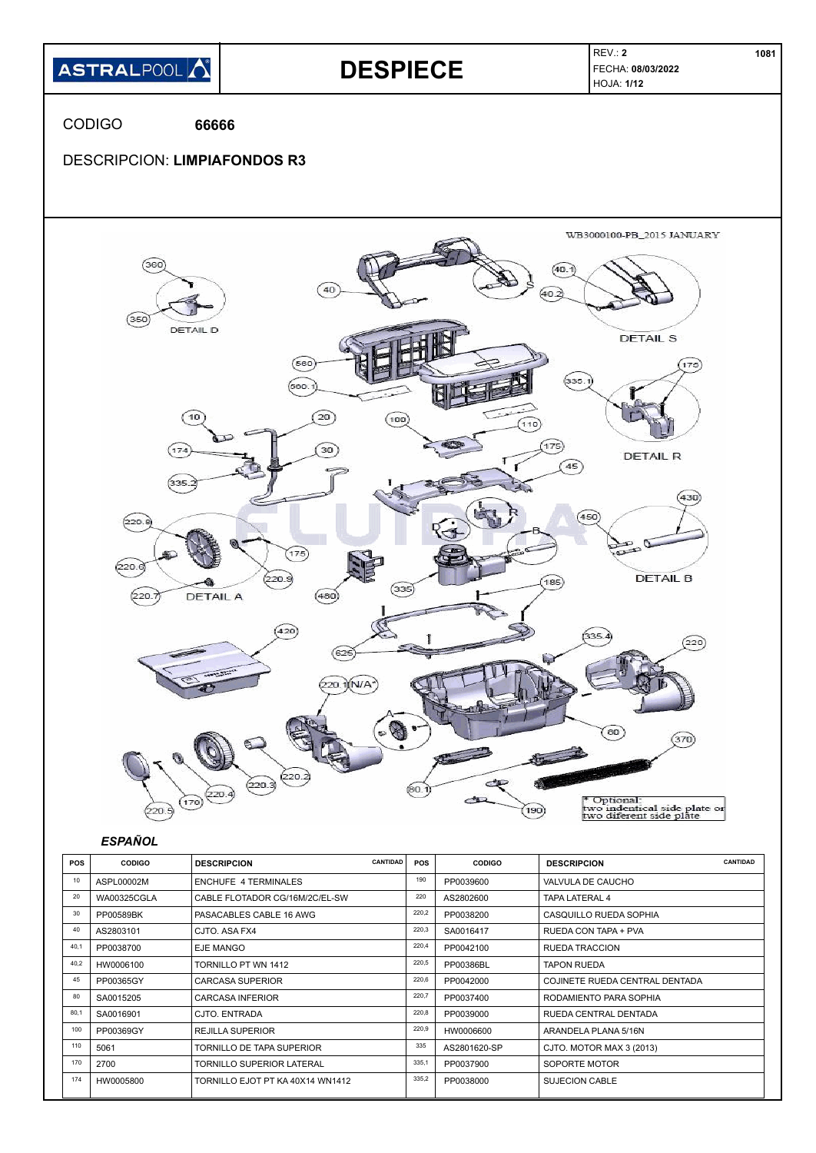

|      | .         |                                  |       | .            |                                       |
|------|-----------|----------------------------------|-------|--------------|---------------------------------------|
| 40   | AS2803101 | CJTO, ASA FX4                    | 220,3 | SA0016417    | RUEDA CON TAPA + PVA                  |
| 40,1 | PP0038700 | <b>EJE MANGO</b>                 | 220,4 | PP0042100    | <b>RUEDA TRACCION</b>                 |
| 40,2 | HW0006100 | TORNILLO PT WN 1412              | 220,5 | PP00386BL    | <b>TAPON RUEDA</b>                    |
| 45   | PP00365GY | <b>CARCASA SUPERIOR</b>          | 220,6 | PP0042000    | <b>COJINETE RUEDA CENTRAL DENTADA</b> |
| 80   | SA0015205 | <b>CARCASA INFERIOR</b>          | 220,7 | PP0037400    | RODAMIENTO PARA SOPHIA                |
| 80,1 | SA0016901 | CJTO, ENTRADA                    | 220,8 | PP0039000    | RUEDA CENTRAL DENTADA                 |
| 100  | PP00369GY | <b>REJILLA SUPERIOR</b>          | 220,9 | HW0006600    | ARANDELA PLANA 5/16N                  |
| 110  | 5061      | <b>TORNILLO DE TAPA SUPERIOR</b> | 335   | AS2801620-SP | CJTO. MOTOR MAX 3 (2013)              |
| 170  | 2700      | <b>TORNILLO SUPERIOR LATERAL</b> | 335,1 | PP0037900    | SOPORTE MOTOR                         |
| 174  | HW0005800 | TORNILLO EJOT PT KA 40X14 WN1412 | 335,2 | PP0038000    | <b>SUJECION CABLE</b>                 |
|      |           |                                  |       |              |                                       |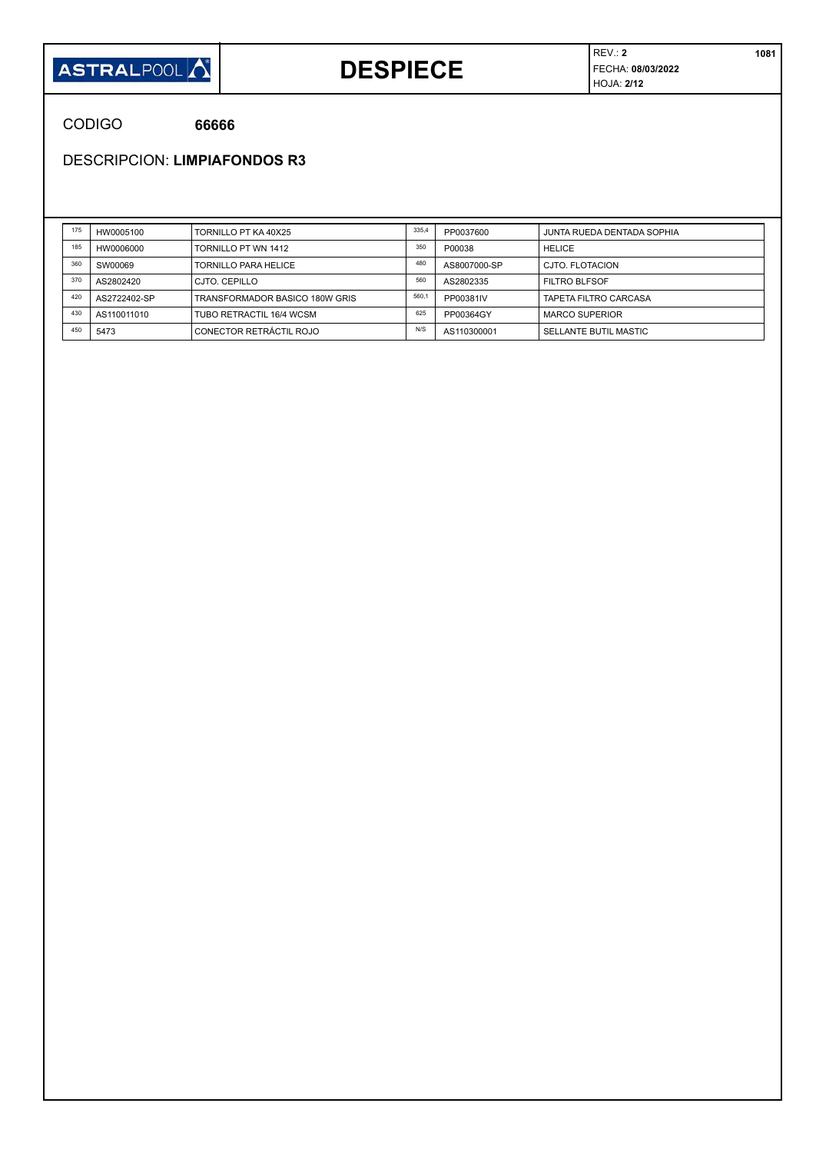

### **DESPIECE**

CODIGO **66666**

DESCRIPCION: **LIMPIAFONDOS R3**

| 175 | HW0005100    | TORNILLO PT KA 40X25           | 335,4 | PP0037600    | JUNTA RUEDA DENTADA SOPHIA |
|-----|--------------|--------------------------------|-------|--------------|----------------------------|
| 185 | HW0006000    | TORNILLO PT WN 1412            | 350   | P00038       | <b>HELICE</b>              |
| 360 | SW00069      | <b>TORNILLO PARA HELICE</b>    | 480   | AS8007000-SP | CJTO. FLOTACION            |
| 370 | AS2802420    | CJTO, CEPILLO                  | 560   | AS2802335    | <b>FILTRO BLFSOF</b>       |
| 420 | AS2722402-SP | TRANSFORMADOR BASICO 180W GRIS | 560,1 | PP00381IV    | TAPETA FILTRO CARCASA      |
| 430 | AS110011010  | TUBO RETRACTIL 16/4 WCSM       | 625   | PP00364GY    | <b>MARCO SUPERIOR</b>      |
| 450 | 5473         | CONECTOR RETRÁCTIL ROJO        | N/S   | AS110300001  | SELLANTE BUTIL MASTIC      |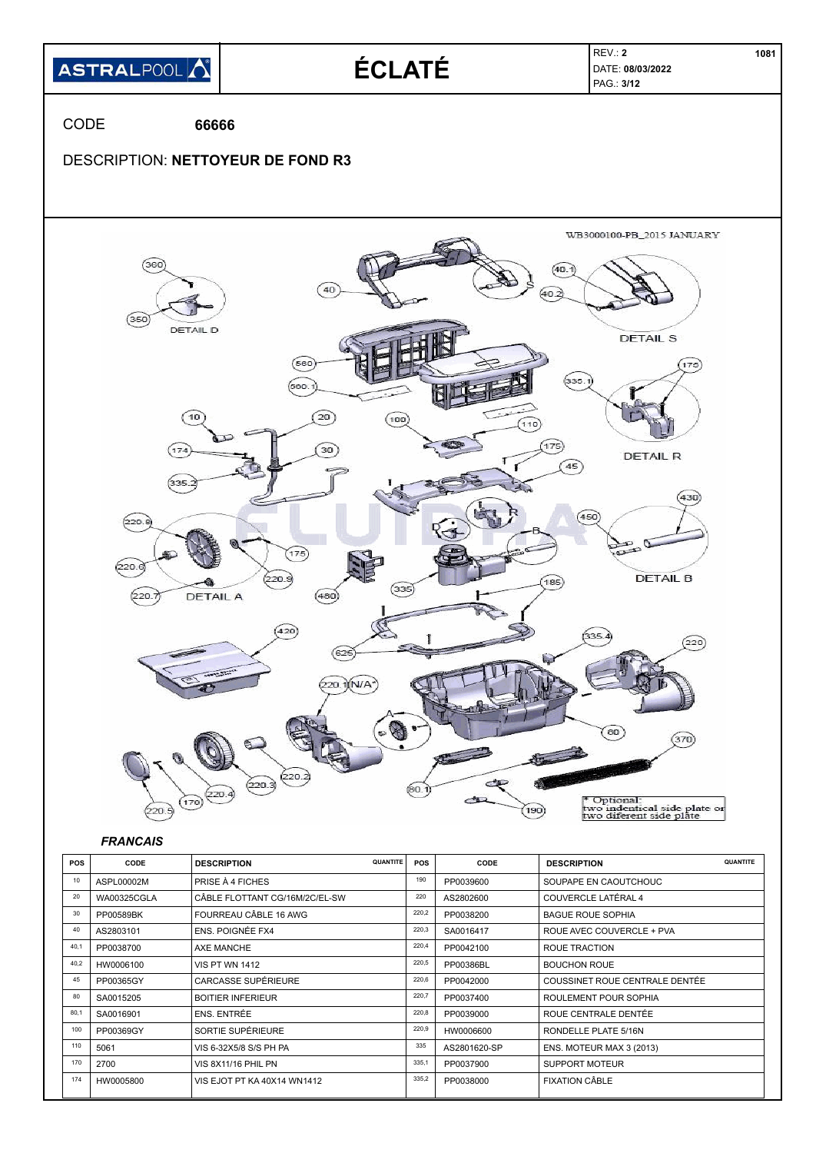

| 10   | ASPL00002M         | <b>PRISE À 4 FICHES</b>        | 190   | PP0039600    | SOUPAPE EN CAOUTCHOUC          |
|------|--------------------|--------------------------------|-------|--------------|--------------------------------|
| 20   | <b>WA00325CGLA</b> | CÂBLE FLOTTANT CG/16M/2C/EL-SW | 220   | AS2802600    | COUVERCLE LATÉRAL 4            |
| 30   | PP00589BK          | FOURREAU CÂBLE 16 AWG          | 220,2 | PP0038200    | <b>BAGUE ROUE SOPHIA</b>       |
| 40   | AS2803101          | <b>ENS. POIGNÉE FX4</b>        | 220,3 | SA0016417    | ROUE AVEC COUVERCLE + PVA      |
| 40,1 | PP0038700          | AXE MANCHE                     | 220,4 | PP0042100    | ROUE TRACTION                  |
| 40,2 | HW0006100          | <b>VIS PT WN 1412</b>          | 220,5 | PP00386BL    | <b>BOUCHON ROUE</b>            |
| 45   | PP00365GY          | <b>CARCASSE SUPÉRIEURE</b>     | 220,6 | PP0042000    | COUSSINET ROUE CENTRALE DENTÉE |
| 80   | SA0015205          | <b>BOITIER INFERIEUR</b>       | 220,7 | PP0037400    | ROULEMENT POUR SOPHIA          |
| 80,1 | SA0016901          | ENS. ENTRÉE                    | 220,8 | PP0039000    | ROUE CENTRALE DENTÉE           |
| 100  | PP00369GY          | SORTIE SUPÉRIEURE              | 220,9 | HW0006600    | RONDELLE PLATE 5/16N           |
| 110  | 5061               | VIS 6-32X5/8 S/S PH PA         | 335   | AS2801620-SP | ENS. MOTEUR MAX 3 (2013)       |
| 170  | 2700               | VIS 8X11/16 PHIL PN            | 335,1 | PP0037900    | <b>SUPPORT MOTEUR</b>          |
| 174  | HW0005800          | VIS EJOT PT KA 40X14 WN1412    | 335,2 | PP0038000    | <b>FIXATION CÂBLE</b>          |
|      |                    |                                |       |              |                                |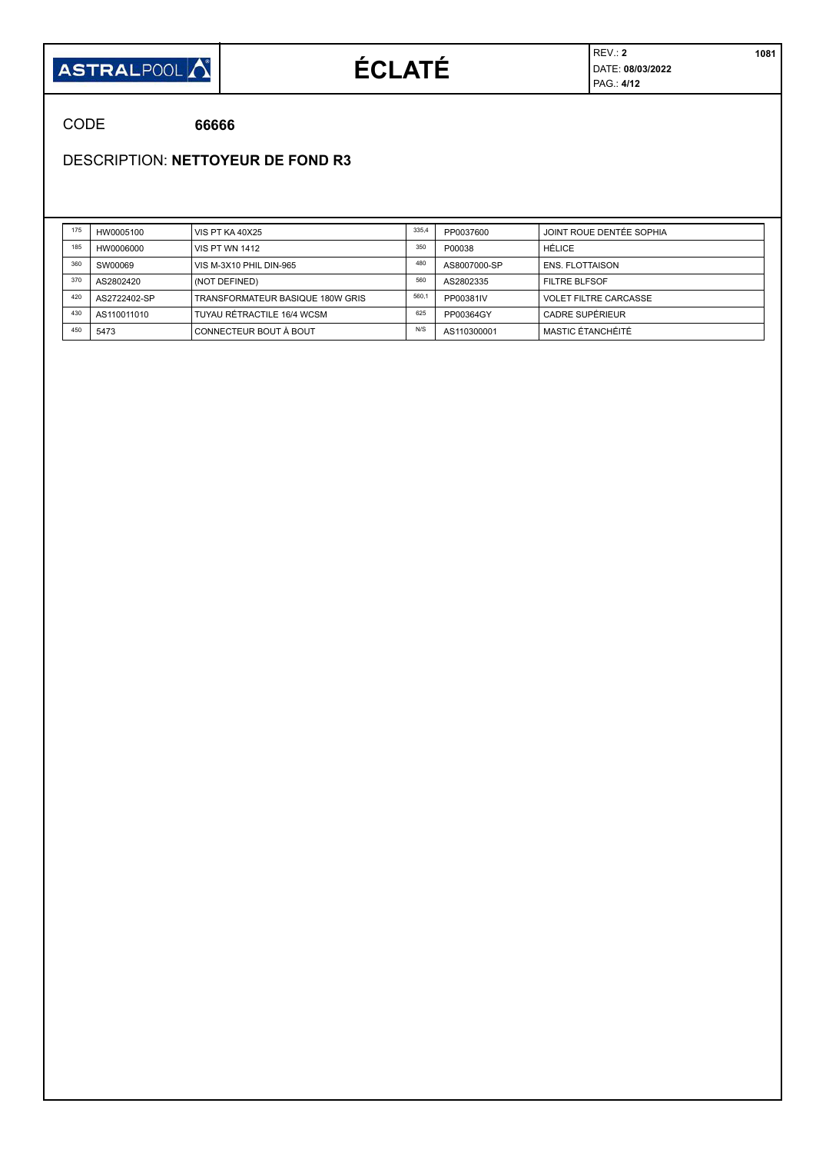

# **ÉCLATÉ**

REV.: **2 1081** DATE: **08/03/2022** PAG.: **4/12**

CODE **66666**

DESCRIPTION: **NETTOYEUR DE FOND R3**

| 175 | HW0005100    | VIS PT KA 40X25                  | 335,4 | PP0037600    | JOINT ROUE DENTÉE SOPHIA     |
|-----|--------------|----------------------------------|-------|--------------|------------------------------|
| 185 | HW0006000    | <b>VIS PT WN 1412</b>            | 350   | P00038       | HÉLICE                       |
| 360 | SW00069      | VIS M-3X10 PHIL DIN-965          | 480   | AS8007000-SP | <b>ENS. FLOTTAISON</b>       |
| 370 | AS2802420    | (NOT DEFINED)                    | 560   | AS2802335    | <b>FILTRE BLFSOF</b>         |
| 420 | AS2722402-SP | TRANSFORMATEUR BASIQUE 180W GRIS | 560.1 | PP00381IV    | <b>VOLET FILTRE CARCASSE</b> |
| 430 | AS110011010  | TUYAU RÉTRACTILE 16/4 WCSM       | 625   | PP00364GY    | CADRE SUPÉRIEUR              |
| 450 | 5473         | CONNECTEUR BOUT À BOUT           | N/S   | AS110300001  | MASTIC ÉTANCHÉITÉ            |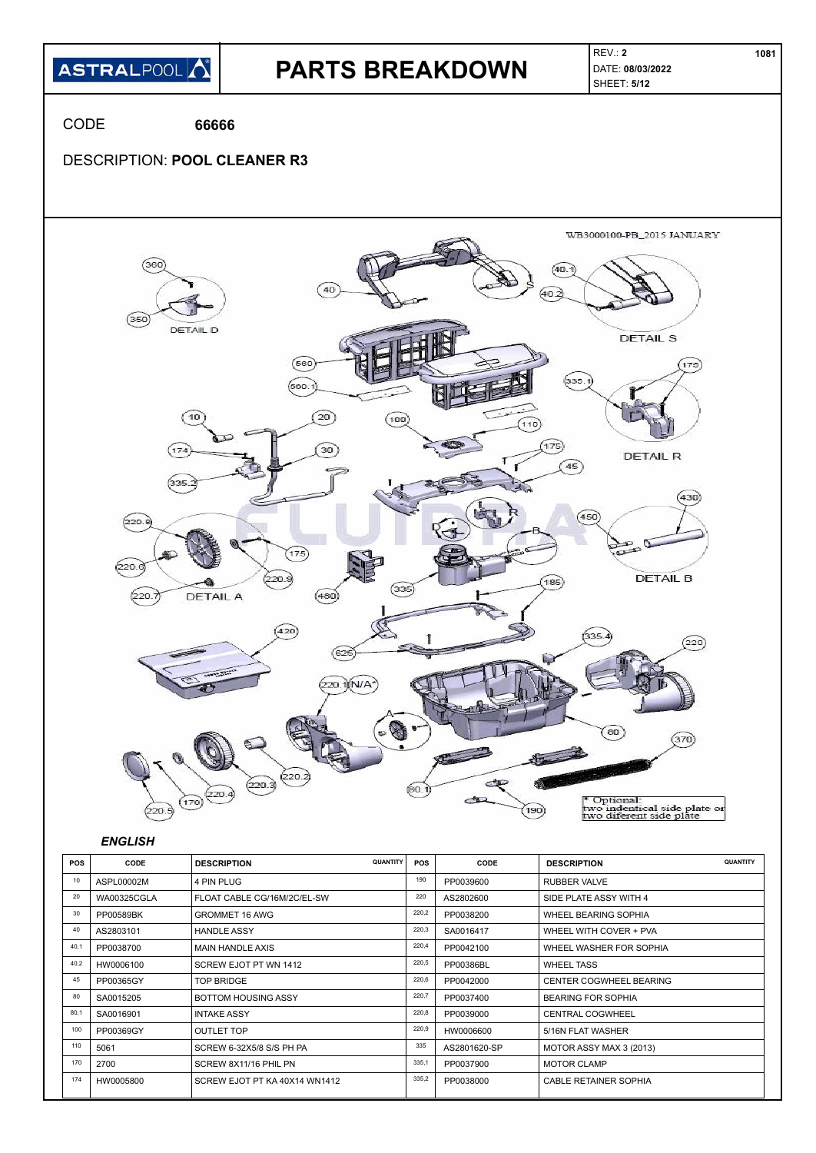

| <b>POS</b> | CODE               | QUANTITY<br><b>DESCRIPTION</b> | <b>POS</b> | CODE         | <b>DESCRIPTION</b>        |
|------------|--------------------|--------------------------------|------------|--------------|---------------------------|
| 10         | ASPL00002M         | 4 PIN PLUG                     | 190        | PP0039600    | RUBBER VALVE              |
| 20         | <b>WA00325CGLA</b> | FLOAT CABLE CG/16M/2C/EL-SW    | 220        | AS2802600    | SIDE PLATE ASSY WITH 4    |
| 30         | PP00589BK          | <b>GROMMET 16 AWG</b>          | 220,2      | PP0038200    | WHEEL BEARING SOPHIA      |
| 40         | AS2803101          | <b>HANDLE ASSY</b>             | 220,3      | SA0016417    | WHEEL WITH COVER + PVA    |
| 40.1       | PP0038700          | <b>MAIN HANDLE AXIS</b>        | 220,4      | PP0042100    | WHEEL WASHER FOR SOPHIA   |
| 40.2       | HW0006100          | SCREW EJOT PT WN 1412          | 220,5      | PP00386BL    | <b>WHEEL TASS</b>         |
| 45         | PP00365GY          | TOP BRIDGE                     | 220,6      | PP0042000    | CENTER COGWHEEL BEARING   |
| 80         | SA0015205          | <b>BOTTOM HOUSING ASSY</b>     | 220,7      | PP0037400    | <b>BEARING FOR SOPHIA</b> |
| 80.1       | SA0016901          | <b>INTAKE ASSY</b>             | 220,8      | PP0039000    | <b>CENTRAL COGWHEEL</b>   |
| 100        | PP00369GY          | <b>OUTLET TOP</b>              | 220,9      | HW0006600    | 5/16N FLAT WASHER         |
| 110        | 5061               | SCREW 6-32X5/8 S/S PH PA       | 335        | AS2801620-SP | MOTOR ASSY MAX 3 (2013)   |
| 170        | 2700               | SCREW 8X11/16 PHIL PN          | 335,1      | PP0037900    | <b>MOTOR CLAMP</b>        |
| 174        | HW0005800          | SCREW EJOT PT KA 40X14 WN1412  | 335,2      | PP0038000    | CABLE RETAINER SOPHIA     |
|            |                    |                                |            |              |                           |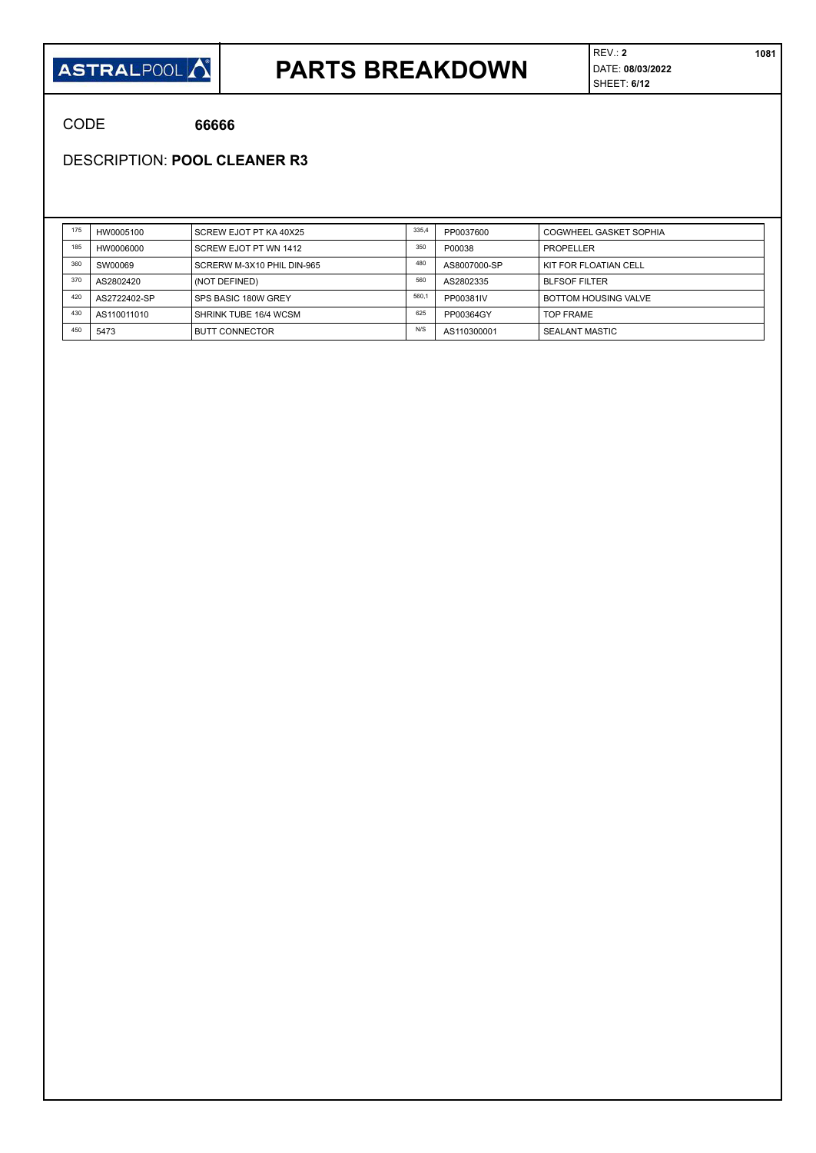#### **ASTRALPOOL**

### **PARTS BREAKDOWN**

CODE **66666**

DESCRIPTION: **POOL CLEANER R3**

| 175 | HW0005100    | SCREW EJOT PT KA 40X25     | 335,4 | PP0037600    | COGWHEEL GASKET SOPHIA      |
|-----|--------------|----------------------------|-------|--------------|-----------------------------|
| 185 | HW0006000    | SCREW EJOT PT WN 1412      | 350   | P00038       | PROPELLER                   |
| 360 | SW00069      | SCRERW M-3X10 PHIL DIN-965 | 480   | AS8007000-SP | KIT FOR FLOATIAN CELL       |
| 370 | AS2802420    | (NOT DEFINED)              | 560   | AS2802335    | <b>BLFSOF FILTER</b>        |
| 420 | AS2722402-SP | SPS BASIC 180W GREY        | 560.  | PP00381IV    | <b>BOTTOM HOUSING VALVE</b> |
| 430 | AS110011010  | SHRINK TUBE 16/4 WCSM      | 625   | PP00364GY    | <b>TOP FRAME</b>            |
| 450 | 5473         | <b>BUTT CONNECTOR</b>      | N/S   | AS110300001  | SEALANT MASTIC              |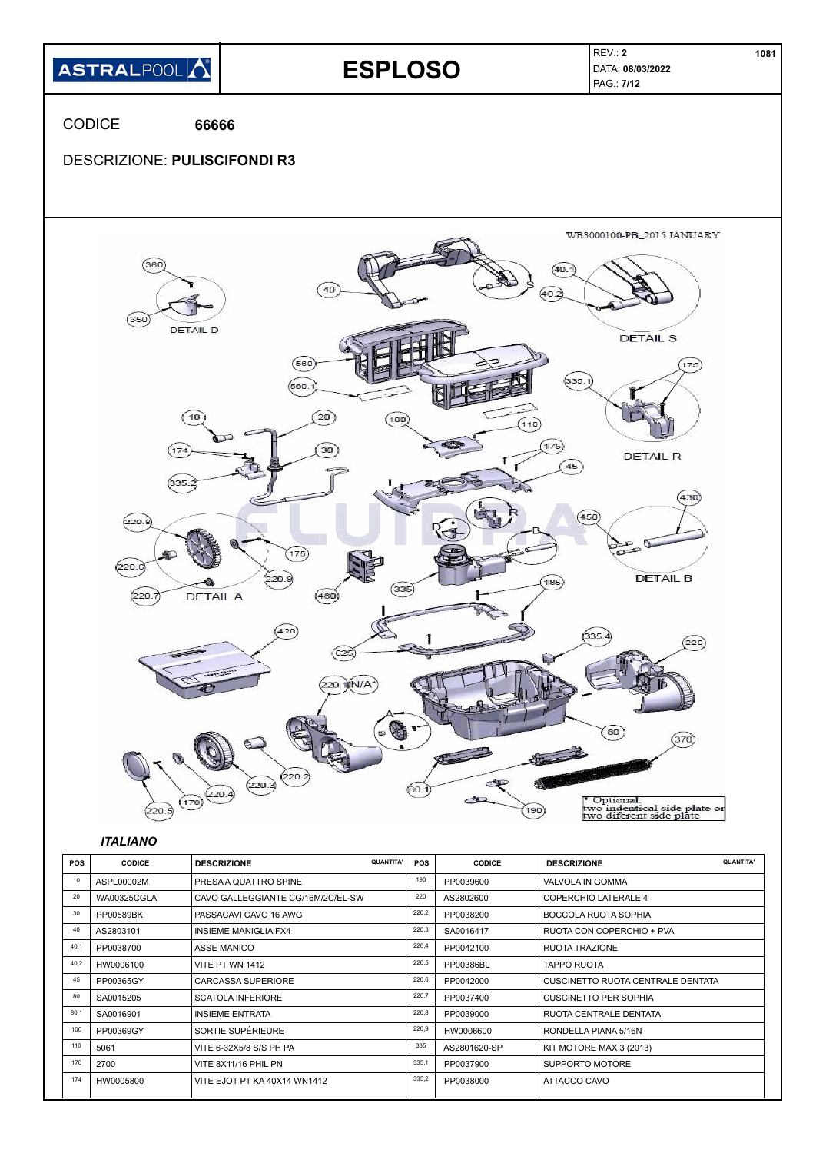

| 30   | PP00589BK | PASSACAVI CAVO 16 AWG        | 220,2 | PP0038200    | <b>BOCCOLA RUOTA SOPHIA</b>       |
|------|-----------|------------------------------|-------|--------------|-----------------------------------|
| 40   | AS2803101 | <b>INSIEME MANIGLIA FX4</b>  | 220,3 | SA0016417    | RUOTA CON COPERCHIO + PVA         |
| 40,1 | PP0038700 | <b>ASSE MANICO</b>           | 220,4 | PP0042100    | <b>RUOTA TRAZIONE</b>             |
| 40,2 | HW0006100 | VITE PT WN 1412              | 220,5 | PP00386BL    | <b>TAPPO RUOTA</b>                |
| 45   | PP00365GY | <b>CARCASSA SUPERIORE</b>    | 220,6 | PP0042000    | CUSCINETTO RUOTA CENTRALE DENTATA |
| 80   | SA0015205 | <b>SCATOLA INFERIORE</b>     | 220,7 | PP0037400    | <b>CUSCINETTO PER SOPHIA</b>      |
| 80,1 | SA0016901 | <b>INSIEME ENTRATA</b>       | 220,8 | PP0039000    | RUOTA CENTRALE DENTATA            |
| 100  | PP00369GY | SORTIE SUPÉRIEURE            | 220,9 | HW0006600    | RONDELLA PIANA 5/16N              |
| 110  | 5061      | VITE 6-32X5/8 S/S PH PA      | 335   | AS2801620-SP | KIT MOTORE MAX 3 (2013)           |
| 170  | 2700      | VITE 8X11/16 PHIL PN         | 335.1 | PP0037900    | SUPPORTO MOTORE                   |
| 174  | HW0005800 | VITE EJOT PT KA 40X14 WN1412 | 335,2 | PP0038000    | ATTACCO CAVO                      |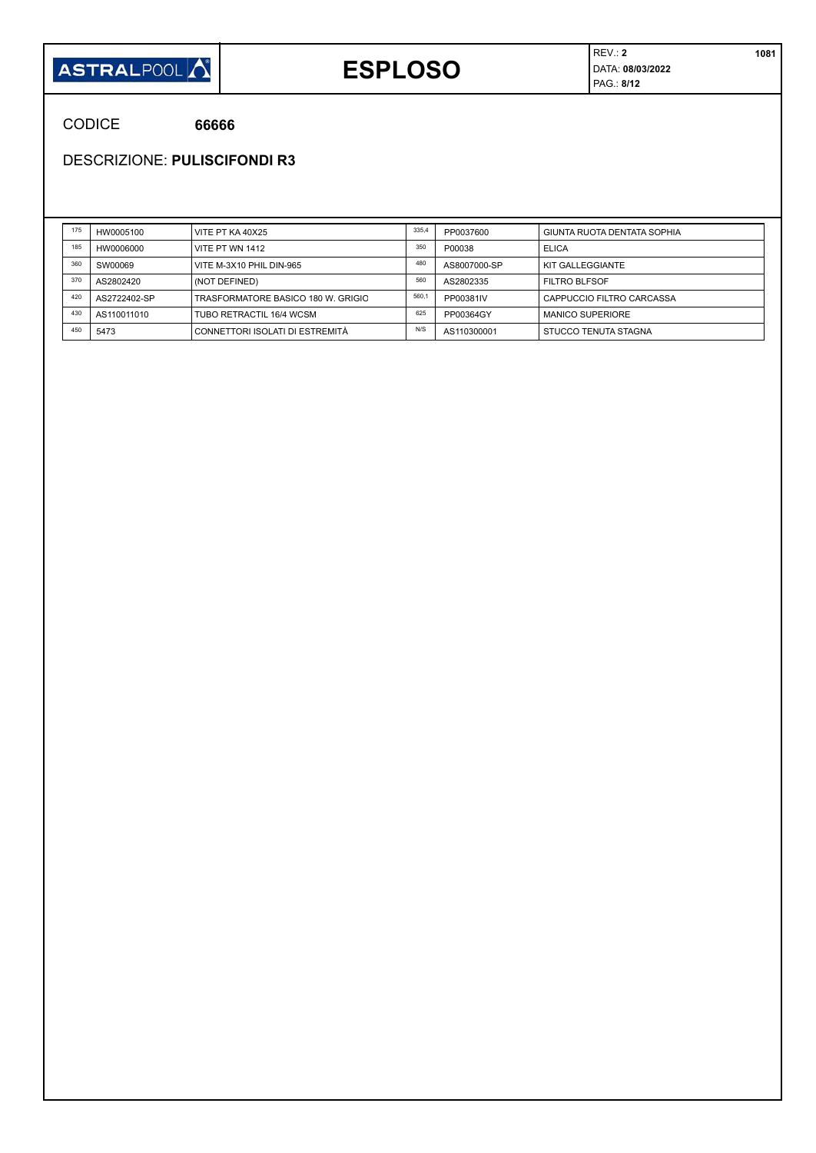

## **ESPLOSO**

REV.: **2 1081** DATA: **08/03/2022** PAG.: **8/12**

CODICE **66666**

DESCRIZIONE: **PULISCIFONDI R3**

| 175 | HW0005100    | VITE PT KA 40X25                   | 335,4 | PP0037600    | GIUNTA RUOTA DENTATA SOPHIA |
|-----|--------------|------------------------------------|-------|--------------|-----------------------------|
| 185 | HW0006000    | VITE PT WN 1412                    | 350   | P00038       | <b>ELICA</b>                |
| 360 | SW00069      | VITE M-3X10 PHIL DIN-965           | 480   | AS8007000-SP | KIT GALLEGGIANTE            |
| 370 | AS2802420    | (NOT DEFINED)                      | 560   | AS2802335    | <b>FILTRO BLFSOF</b>        |
| 420 | AS2722402-SP | TRASFORMATORE BASICO 180 W. GRIGIO | 560,1 | PP00381IV    | CAPPUCCIO FILTRO CARCASSA   |
| 430 | AS110011010  | TUBO RETRACTIL 16/4 WCSM           | 625   | PP00364GY    | <b>MANICO SUPERIORE</b>     |
| 450 | 5473         | CONNETTORI ISOLATI DI ESTREMITÀ    | N/S   | AS110300001  | STUCCO TENUTA STAGNA        |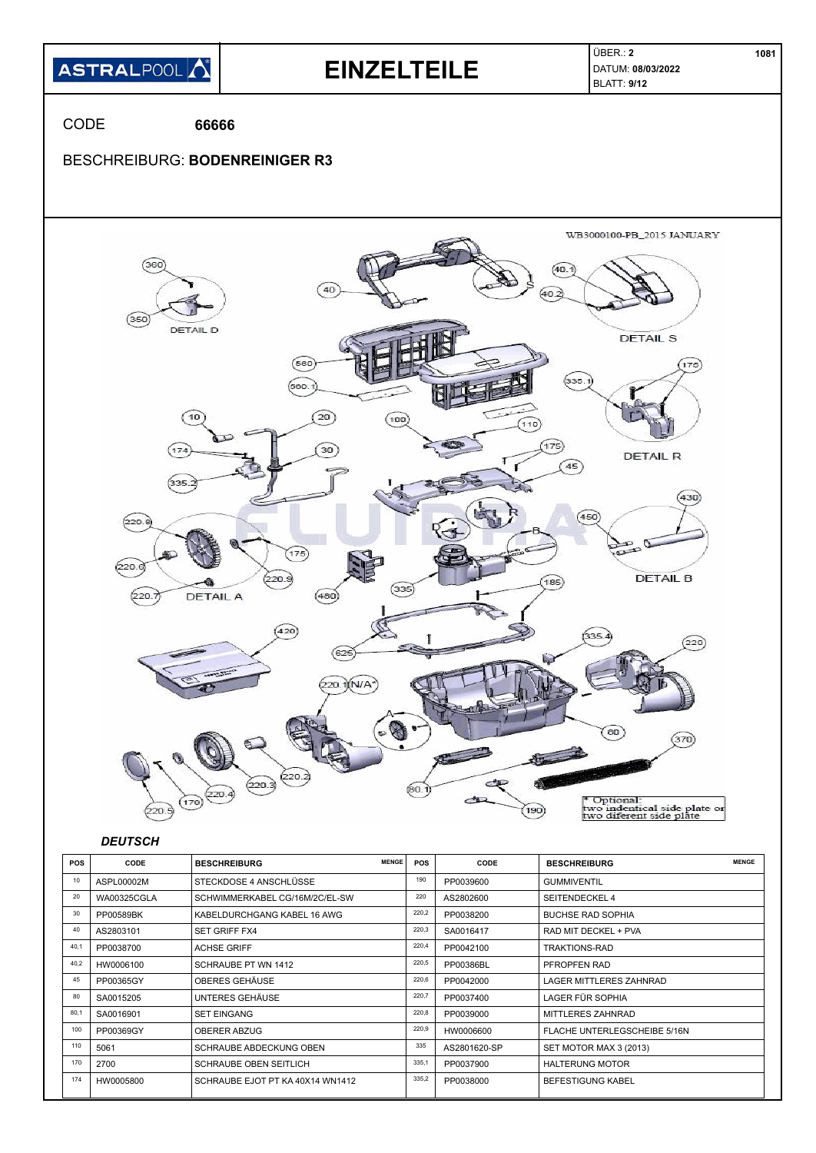

|      | AUI LUUUULIVI      | 01 LUNDUUL 7 ANUU 1LUUUL         |       | ,,,,,,,,,,,, | ◡◡⋯⋯⋯                        |
|------|--------------------|----------------------------------|-------|--------------|------------------------------|
| 20   | <b>WA00325CGLA</b> | SCHWIMMERKABEL CG/16M/2C/EL-SW   | 220   | AS2802600    | <b>SEITENDECKEL 4</b>        |
| 30   | PP00589BK          | KABELDURCHGANG KABEL 16 AWG      | 220,2 | PP0038200    | <b>BUCHSE RAD SOPHIA</b>     |
| 40   | AS2803101          | <b>SET GRIFF FX4</b>             | 220,3 | SA0016417    | RAD MIT DECKEL + PVA         |
| 40,1 | PP0038700          | <b>ACHSE GRIFF</b>               | 220,4 | PP0042100    | <b>TRAKTIONS-RAD</b>         |
| 40,2 | HW0006100          | SCHRAUBE PT WN 1412              | 220,5 | PP00386BL    | PFROPFEN RAD                 |
| 45   | PP00365GY          | OBERES GEHÄUSE                   | 220,6 | PP0042000    | LAGER MITTLERES ZAHNRAD      |
| 80   | SA0015205          | UNTERES GEHÄUSE                  | 220,7 | PP0037400    | LAGER FÜR SOPHIA             |
| 80,1 | SA0016901          | <b>SET EINGANG</b>               | 220,8 | PP0039000    | <b>MITTLERES ZAHNRAD</b>     |
| 100  | PP00369GY          | OBERER ABZUG                     | 220,9 | HW0006600    | FLACHE UNTERLEGSCHEIBE 5/16N |
| 110  | 5061               | SCHRAUBE ABDECKUNG OBEN          | 335   | AS2801620-SP | SET MOTOR MAX 3 (2013)       |
| 170  | 2700               | <b>SCHRAUBE OBEN SEITLICH</b>    | 335,1 | PP0037900    | <b>HALTERUNG MOTOR</b>       |
| 174  | HW0005800          | SCHRAUBE EJOT PT KA 40X14 WN1412 | 335,2 | PP0038000    | <b>BEFESTIGUNG KABEL</b>     |
|      |                    |                                  |       |              |                              |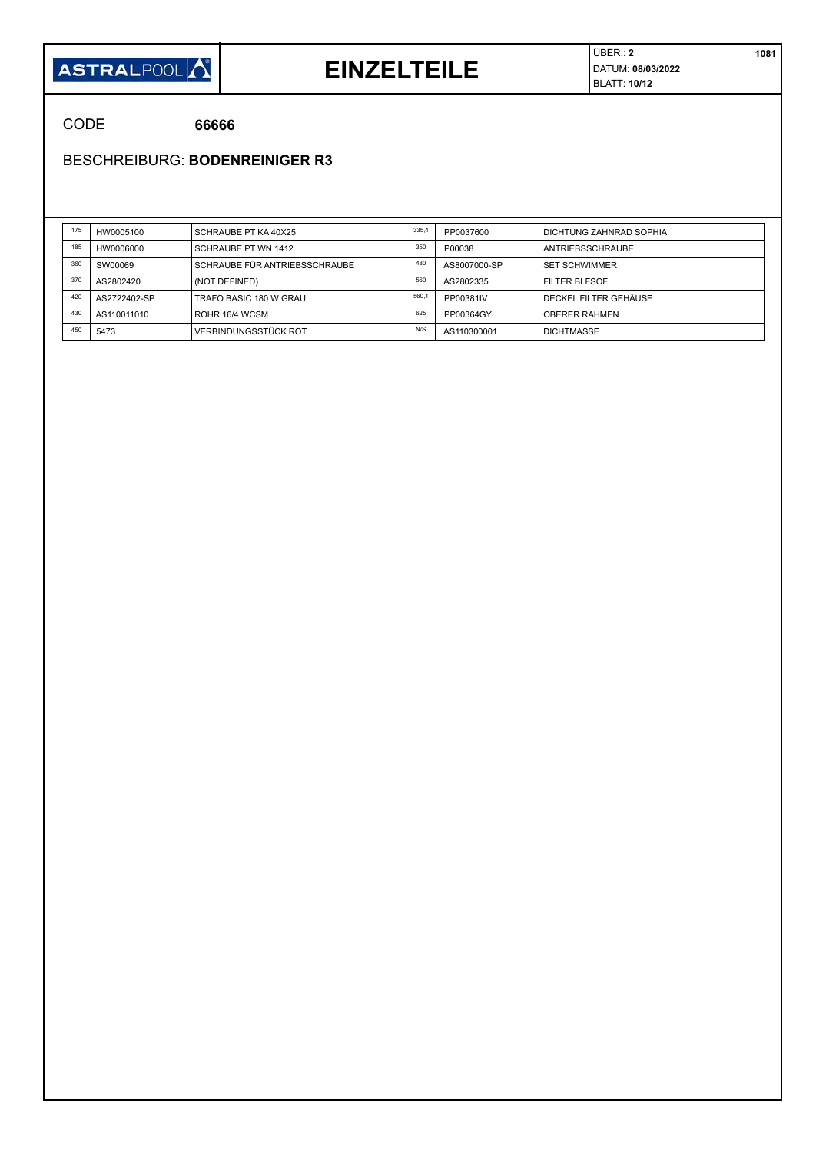

#### **EINZELTEILE**

ÜBER.: **2 1081** DATUM: **08/03/2022** BLATT: **10/12**

CODE **66666**

BESCHREIBURG: **BODENREINIGER R3**

| 175 | HW0005100    | SCHRAUBE PT KA 40X25          | 335.4 | PP0037600    | DICHTUNG ZAHNRAD SOPHIA |
|-----|--------------|-------------------------------|-------|--------------|-------------------------|
| 185 | HW0006000    | SCHRAUBE PT WN 1412           | 350   | P00038       | ANTRIEBSSCHRAUBE        |
| 360 | SW00069      | SCHRAUBE FÜR ANTRIEBSSCHRAUBE | 480   | AS8007000-SP | <b>SET SCHWIMMER</b>    |
| 370 | AS2802420    | (NOT DEFINED)                 | 560   | AS2802335    | FILTER BLFSOF           |
| 420 | AS2722402-SP | TRAFO BASIC 180 W GRAU        | 560.1 | PP00381IV    | DECKEL FILTER GEHÄUSE   |
| 430 | AS110011010  | ROHR 16/4 WCSM                | 625   | PP00364GY    | <b>OBERER RAHMEN</b>    |
| 450 | 5473         | VERBINDUNGSSTÜCK ROT          | N/S   | AS110300001  | <b>DICHTMASSE</b>       |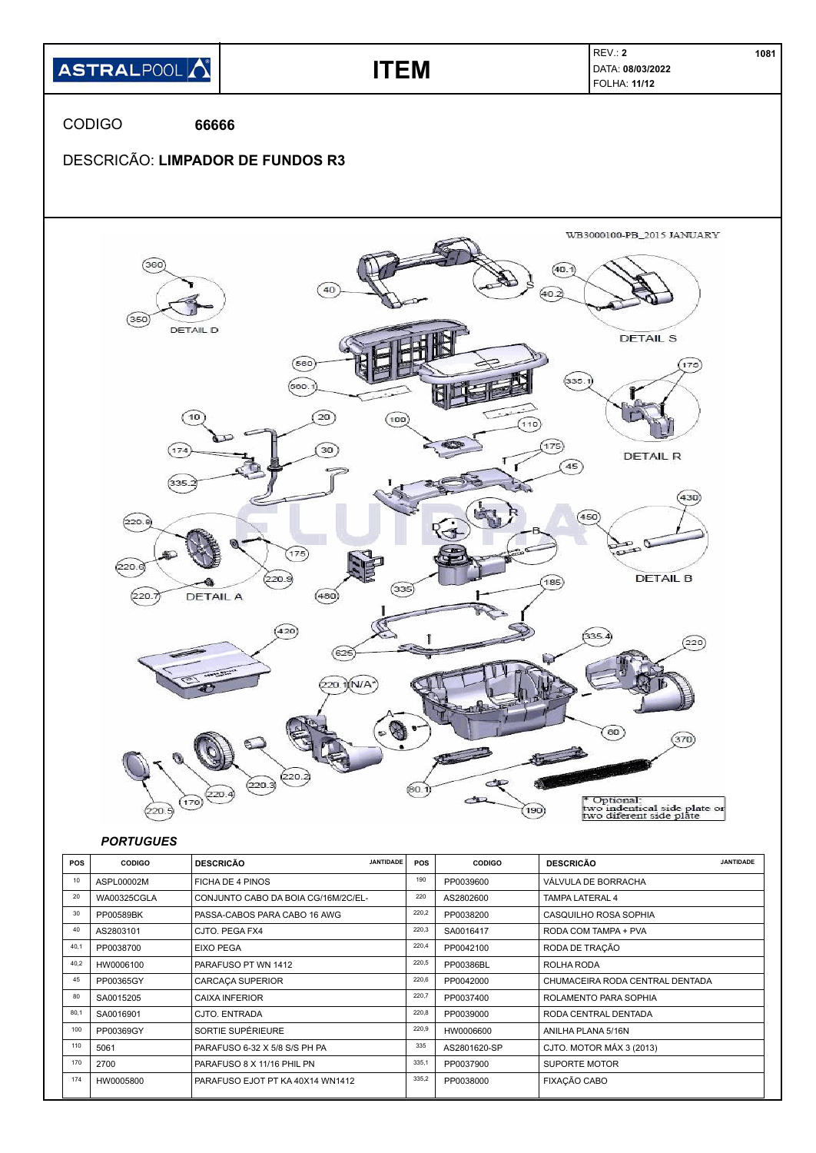

| 30   | PP00589BK | PASSA-CABOS PARA CABO 16 AWG     | 220,2 | PP0038200    | CASQUILHO ROSA SOPHIA           |
|------|-----------|----------------------------------|-------|--------------|---------------------------------|
| 40   | AS2803101 | CJTO, PEGA FX4                   | 220,3 | SA0016417    | RODA COM TAMPA + PVA            |
| 40,1 | PP0038700 | <b>EIXO PEGA</b>                 | 220,4 | PP0042100    | RODA DE TRAÇÃO                  |
| 40,2 | HW0006100 | PARAFUSO PT WN 1412              | 220,5 | PP00386BL    | ROLHA RODA                      |
| 45   | PP00365GY | <b>CARCACA SUPERIOR</b>          | 220,6 | PP0042000    | CHUMACEIRA RODA CENTRAL DENTADA |
| 80   | SA0015205 | <b>CAIXA INFERIOR</b>            | 220,7 | PP0037400    | ROLAMENTO PARA SOPHIA           |
| 80,1 | SA0016901 | CJTO. ENTRADA                    | 220,8 | PP0039000    | RODA CENTRAL DENTADA            |
| 100  | PP00369GY | SORTIE SUPÉRIEURE                | 220,9 | HW0006600    | ANILHA PLANA 5/16N              |
| 110  | 5061      | PARAFUSO 6-32 X 5/8 S/S PH PA    | 335   | AS2801620-SP | CJTO. MOTOR MÁX 3 (2013)        |
| 170  | 2700      | PARAFUSO 8 X 11/16 PHIL PN       | 335,1 | PP0037900    | <b>SUPORTE MOTOR</b>            |
| 174  | HW0005800 | PARAFUSO EJOT PT KA 40X14 WN1412 | 335,2 | PP0038000    | FIXAÇÃO CABO                    |
|      |           |                                  |       |              |                                 |